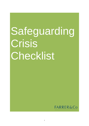# Safeguarding Crisis Checklist

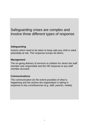### Safeguarding crises are complex and involve three different types of response

#### **Safeguarding**

Actions which need to be taken to keep safe any child or adult potentially at risk. This response trumps all others.

#### **Management**

The on-going delivery of services to children for whom the staff member was responsible and the HR response to any staff member accused.

#### **Communications**

The communication (to the extent possible) of what is happening and the actions the organisation is taking in response to key constituencies (e.g. staff, parents, media).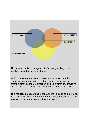

The most effective management of a safeguarding crisis involves co-ordination of all three.

Whilst the safeguarding response must always come first, simultaneous attention to the other areas of response will create a strong sense of direction and co-ordination, providing the greatest reassurance to stakeholders (the 'sweet spot').

This requires safeguarding leads working in close co-ordination with senior leadership team, the board, HR, legal advisers and internal and external communications teams.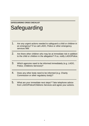#### **SAFEGUARDING CRISIS CHECKLIST**

# **Safeguarding**

- 1. Are any urgent actions needed to safeguard a child or children in an emergency? If so call LADO, Police or other emergency services 999.
- 2. Are there other children who may be at immediate risk in addition to the child or children in the allegation? If so, notify LADO/Police.
- 3. Which agencies need to be informed immediately (e.g. LADO, Police, Childrens Services)?
- 4. Does any other body need to be informed (e.g. Charity Commission or other regulatory body)?
- 5. What are your immediate next steps? Take telephone advice from LADO/Police/Childrens Services and agree your actions.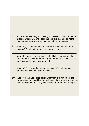- 6. Will Police be coming on site (e.g. to arrest or conduct a search)? Discuss with LADO and Police the best approach so as not to cause unnecessary anxiety to other children or parents.
- 7. Who do you need to speak to in order to implement the agreed actions? Speak to them and implement actions.
- 8. What do you need to say to the child, his/her parents and the staff member concerned now? Agree this with the LADO, Police or Childrens Services as appropriate.
- 9. Has LADO convened a strategy meeting? If so, decide who attends and what you want to achieve.
- 10. Work with the authorities not against them. But remember the organisation has priorities too, so identify them in advance and be sure to include them in any discussions around future strategy.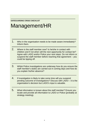#### **SAFEGUARDING CRISIS CHECKLIST**

## Management/HR

- 1. Who in the organisation needs to be made aware immediately? Inform them.
- 2. Where is the staff member now? Is he/she in contact with children and if not when will the next opportunity for contact be? Agree with LADO and/or Police your next steps. Do not inform or suspend the staff member before reaching that agreement – you could be tipping off.
- 3. Whilst Police investigations are underway how do you ensure the staff member's duties are carried out in coming days and how do you explain his/her absence?
- 4. If investigation is likely to take some time will you suspend pending outcome of investigations? Discuss with LADO – it is the organisation's decision but LADO's input is valuable.
- 5. What information is known about the staff member? Ensure you locate and provide all information to LADO or Police (probably at strategy meeting).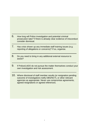- 6. How long will Police investigation and potential criminal prosecution take? If there is already clear evidence of misconduct consider dismissal.
- 7. Has crisis shown up any immediate staff training issues (e.g. reporting of allegations or concerns)? If so, organise.
- 8. Do you need to bring in any additional external resource to assist?
- 9. If Police/LADO do not pursue the matter themselves conduct your own investigation and risk assessment.
- 10. Where dismissal of staff member results (or resignation pending outcome of investigation) notify DBS/NCTL or other relevant agencies as appropriate. Never use compromise agreements, agreed resignations or agreed references.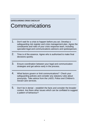#### **SAFEGUARDING CRISIS CHECKLIST**

### **Communications**

- 1. Don't wait for a crisis to happen before you act. Develop a safeguarding risk register and crisis management plan. Agree the constituents and roles of your crisis response team, including specialist legal and communications advisors and spokesperson.
- 2. Time is of the essence. Agree who is authorised to make final decisions quickly.
- 3. Ensure coordination between your legal and communication strategies and get advice early in the process.
- 4. What factors govern or limit communications? Check your safeguarding policies and consider any statutory rules about anonymity. Take advice from the LADO, Police and Children's Social Care services.
- 5. Don't be in denial establish the facts and consider the broader context. Are there other issues which can be conflated to suggest a pattern of behaviour?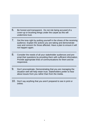- 6. Be honest and transparent. Do not risk being accused of a cover-up or brushing things under the carpet as this will undermine trust.
- 7. Get the tone right by putting yourself in the shoes of the receiving audience. Explain the actions you are taking and demonstrate care and concern for those affected. Have a plan to ensure it will not happen again.
- 8. Consider the needs of all your stakeholder audiences and pre empt their questions by providing them with sufficient information. Provide appropriate lines of communications for them and be responsive.
- 9. Don't procrastinate. Demonstrating that you are managing the situation well will help retain trust. Stakeholders prefer to hear about issues from you rather than from the media.
- 10. Don't say anything that you aren't prepared to see in print or online.